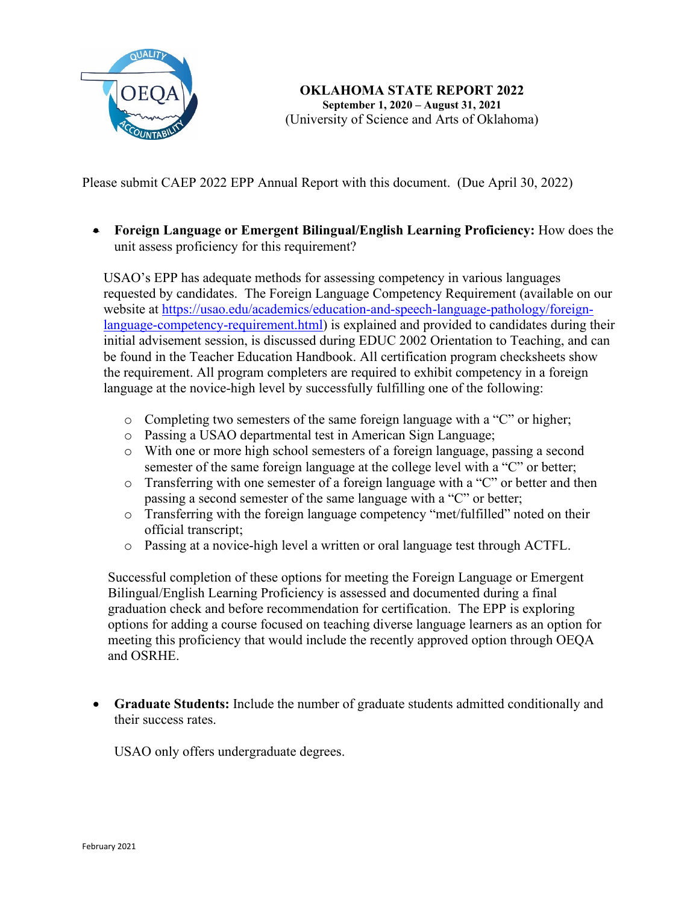

Please submit CAEP 2022 EPP Annual Report with this document. (Due April 30, 2022)

• **Foreign Language or Emergent Bilingual/English Learning Proficiency:** How does the unit assess proficiency for this requirement?

USAO's EPP has adequate methods for assessing competency in various languages requested by candidates. The Foreign Language Competency Requirement (available on our website at [https://usao.edu/academics/education-and-speech-language-pathology/foreign](https://usao.edu/academics/education-and-speech-language-pathology/foreign-language-competency-requirement.html)[language-competency-requirement.html\)](https://usao.edu/academics/education-and-speech-language-pathology/foreign-language-competency-requirement.html) is explained and provided to candidates during their initial advisement session, is discussed during EDUC 2002 Orientation to Teaching, and can be found in the Teacher Education Handbook. All certification program checksheets show the requirement. All program completers are required to exhibit competency in a foreign language at the novice-high level by successfully fulfilling one of the following:

- o Completing two semesters of the same foreign language with a "C" or higher;
- o Passing a USAO departmental test in American Sign Language;
- o With one or more high school semesters of a foreign language, passing a second semester of the same foreign language at the college level with a "C" or better;
- o Transferring with one semester of a foreign language with a "C" or better and then passing a second semester of the same language with a "C" or better;
- o Transferring with the foreign language competency "met/fulfilled" noted on their official transcript;
- o Passing at a novice-high level a written or oral language test through ACTFL.

Successful completion of these options for meeting the Foreign Language or Emergent Bilingual/English Learning Proficiency is assessed and documented during a final graduation check and before recommendation for certification. The EPP is exploring options for adding a course focused on teaching diverse language learners as an option for meeting this proficiency that would include the recently approved option through OEQA and OSRHE.

• **Graduate Students:** Include the number of graduate students admitted conditionally and their success rates.

USAO only offers undergraduate degrees.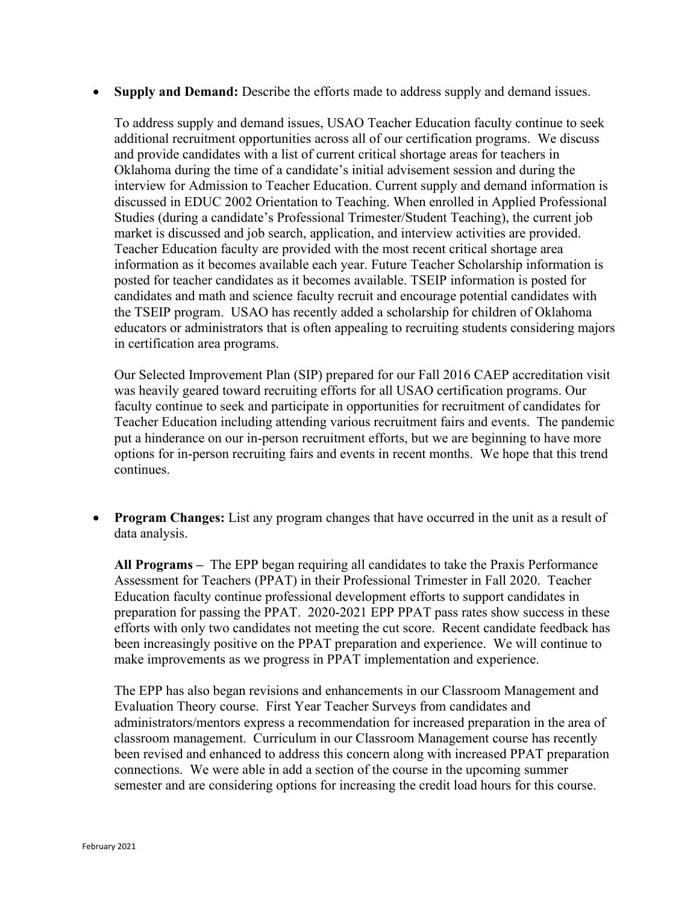• **Supply and Demand:** Describe the efforts made to address supply and demand issues.

To address supply and demand issues, USAO Teacher Education faculty continue to seek additional recruitment opportunities across all of our certification programs. We discuss and provide candidates with a list of current critical shortage areas for teachers in Oklahoma during the time of a candidate's initial advisement session and during the interview for Admission to Teacher Education. Current supply and demand information is discussed in EDUC 2002 Orientation to Teaching. When enrolled in Applied Professional Studies (during a candidate's Professional Trimester/Student Teaching), the current job market is discussed and job search, application, and interview activities are provided. Teacher Education faculty are provided with the most recent critical shortage area information as it becomes available each year. Future Teacher Scholarship information is posted for teacher candidates as it becomes available. TSEIP information is posted for candidates and math and science faculty recruit and encourage potential candidates with the TSEIP program. USAO has recently added a scholarship for children of Oklahoma educators or administrators that is often appealing to recruiting students considering majors in certification area programs.

Our Selected Improvement Plan (SIP) prepared for our Fall 2016 CAEP accreditation visit was heavily geared toward recruiting efforts for all USAO certification programs. Our faculty continue to seek and participate in opportunities for recruitment of candidates for Teacher Education including attending various recruitment fairs and events. The pandemic put a hinderance on our in-person recruitment efforts, but we are beginning to have more options for in-person recruiting fairs and events in recent months. We hope that this trend continues.

**Program Changes:** List any program changes that have occurred in the unit as a result of data analysis.

**All Programs –** The EPP began requiring all candidates to take the Praxis Performance Assessment for Teachers (PPAT) in their Professional Trimester in Fall 2020. Teacher Education faculty continue professional development efforts to support candidates in preparation for passing the PPAT. 2020-2021 EPP PPAT pass rates show success in these efforts with only two candidates not meeting the cut score. Recent candidate feedback has been increasingly positive on the PPAT preparation and experience. We will continue to make improvements as we progress in PPAT implementation and experience.

The EPP has also began revisions and enhancements in our Classroom Management and Evaluation Theory course. First Year Teacher Surveys from candidates and administrators/mentors express a recommendation for increased preparation in the area of classroom management. Curriculum in our Classroom Management course has recently been revised and enhanced to address this concern along with increased PPAT preparation connections. We were able in add a section of the course in the upcoming summer semester and are considering options for increasing the credit load hours for this course.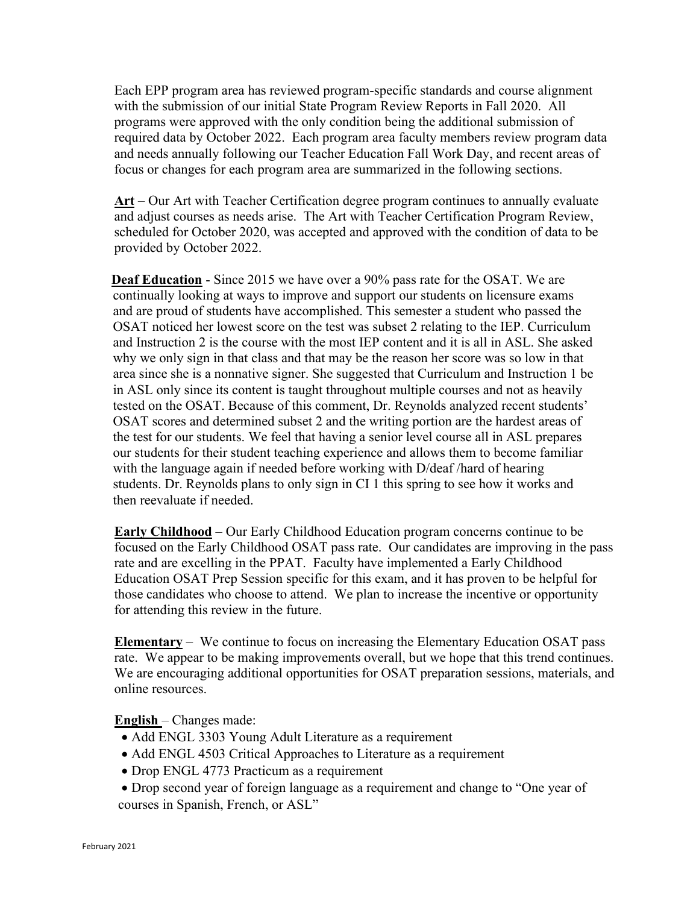Each EPP program area has reviewed program-specific standards and course alignment with the submission of our initial State Program Review Reports in Fall 2020. All programs were approved with the only condition being the additional submission of required data by October 2022. Each program area faculty members review program data and needs annually following our Teacher Education Fall Work Day, and recent areas of focus or changes for each program area are summarized in the following sections.

**Art** – Our Art with Teacher Certification degree program continues to annually evaluate and adjust courses as needs arise. The Art with Teacher Certification Program Review, scheduled for October 2020, was accepted and approved with the condition of data to be provided by October 2022.

**Deaf Education** - Since 2015 we have over a 90% pass rate for the OSAT. We are continually looking at ways to improve and support our students on licensure exams and are proud of students have accomplished. This semester a student who passed the OSAT noticed her lowest score on the test was subset 2 relating to the IEP. Curriculum and Instruction 2 is the course with the most IEP content and it is all in ASL. She asked why we only sign in that class and that may be the reason her score was so low in that area since she is a nonnative signer. She suggested that Curriculum and Instruction 1 be in ASL only since its content is taught throughout multiple courses and not as heavily tested on the OSAT. Because of this comment, Dr. Reynolds analyzed recent students' OSAT scores and determined subset 2 and the writing portion are the hardest areas of the test for our students. We feel that having a senior level course all in ASL prepares our students for their student teaching experience and allows them to become familiar with the language again if needed before working with D/deaf /hard of hearing students. Dr. Reynolds plans to only sign in CI 1 this spring to see how it works and then reevaluate if needed.

**Early Childhood** – Our Early Childhood Education program concerns continue to be focused on the Early Childhood OSAT pass rate. Our candidates are improving in the pass rate and are excelling in the PPAT. Faculty have implemented a Early Childhood Education OSAT Prep Session specific for this exam, and it has proven to be helpful for those candidates who choose to attend. We plan to increase the incentive or opportunity for attending this review in the future.

**Elementary** – We continue to focus on increasing the Elementary Education OSAT pass rate. We appear to be making improvements overall, but we hope that this trend continues. We are encouraging additional opportunities for OSAT preparation sessions, materials, and online resources.

**English** – Changes made:

- Add ENGL 3303 Young Adult Literature as a requirement
- Add ENGL 4503 Critical Approaches to Literature as a requirement
- Drop ENGL 4773 Practicum as a requirement
- Drop second year of foreign language as a requirement and change to "One year of courses in Spanish, French, or ASL"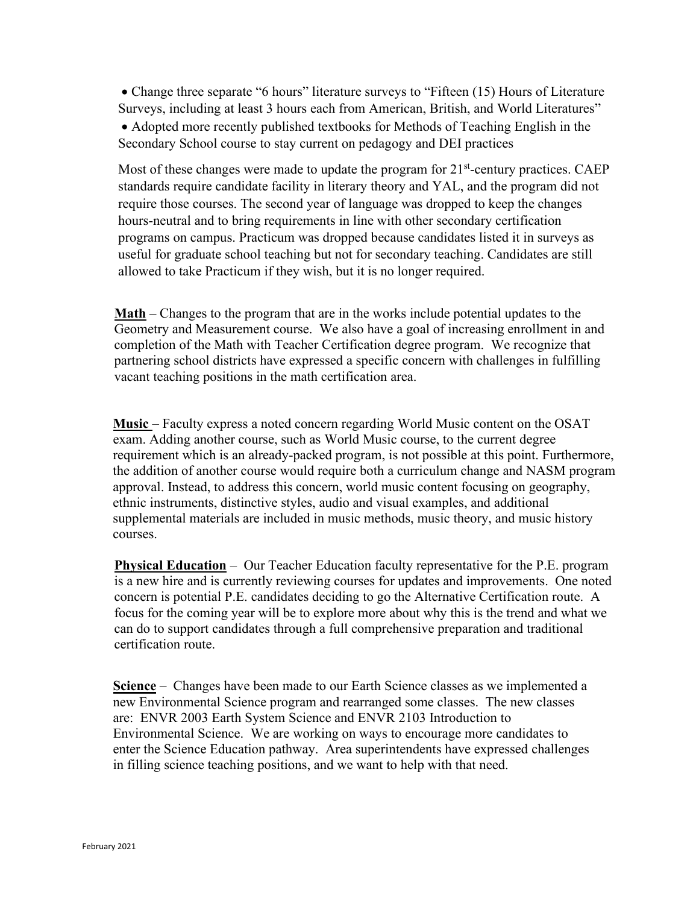• Change three separate "6 hours" literature surveys to "Fifteen (15) Hours of Literature Surveys, including at least 3 hours each from American, British, and World Literatures" • Adopted more recently published textbooks for Methods of Teaching English in the Secondary School course to stay current on pedagogy and DEI practices

Most of these changes were made to update the program for  $21<sup>st</sup>$ -century practices. CAEP standards require candidate facility in literary theory and YAL, and the program did not require those courses. The second year of language was dropped to keep the changes hours-neutral and to bring requirements in line with other secondary certification programs on campus. Practicum was dropped because candidates listed it in surveys as useful for graduate school teaching but not for secondary teaching. Candidates are still allowed to take Practicum if they wish, but it is no longer required.

**Math** – Changes to the program that are in the works include potential updates to the Geometry and Measurement course. We also have a goal of increasing enrollment in and completion of the Math with Teacher Certification degree program. We recognize that partnering school districts have expressed a specific concern with challenges in fulfilling vacant teaching positions in the math certification area.

**Music** – Faculty express a noted concern regarding World Music content on the OSAT exam. Adding another course, such as World Music course, to the current degree requirement which is an already-packed program, is not possible at this point. Furthermore, the addition of another course would require both a curriculum change and NASM program approval. Instead, to address this concern, world music content focusing on geography, ethnic instruments, distinctive styles, audio and visual examples, and additional supplemental materials are included in music methods, music theory, and music history courses.

**Physical Education** – Our Teacher Education faculty representative for the P.E. program is a new hire and is currently reviewing courses for updates and improvements. One noted concern is potential P.E. candidates deciding to go the Alternative Certification route. A focus for the coming year will be to explore more about why this is the trend and what we can do to support candidates through a full comprehensive preparation and traditional certification route.

**Science** – Changes have been made to our Earth Science classes as we implemented a new Environmental Science program and rearranged some classes. The new classes are: ENVR 2003 Earth System Science and ENVR 2103 Introduction to Environmental Science. We are working on ways to encourage more candidates to enter the Science Education pathway. Area superintendents have expressed challenges in filling science teaching positions, and we want to help with that need.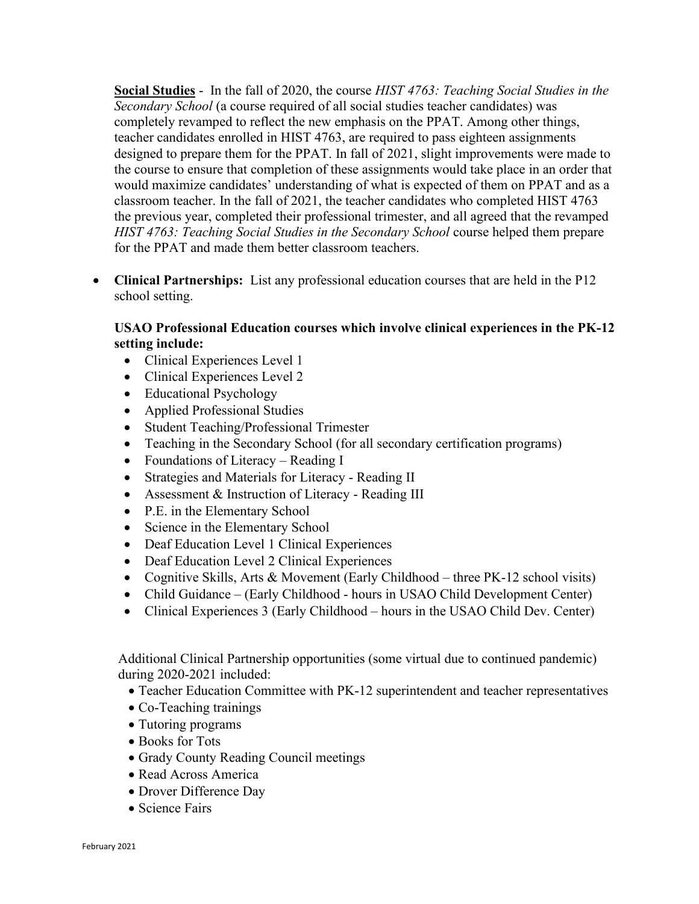**Social Studies** - In the fall of 2020, the course *HIST 4763: Teaching Social Studies in the Secondary School* (a course required of all social studies teacher candidates) was completely revamped to reflect the new emphasis on the PPAT. Among other things, teacher candidates enrolled in HIST 4763, are required to pass eighteen assignments designed to prepare them for the PPAT. In fall of 2021, slight improvements were made to the course to ensure that completion of these assignments would take place in an order that would maximize candidates' understanding of what is expected of them on PPAT and as a classroom teacher. In the fall of 2021, the teacher candidates who completed HIST 4763 the previous year, completed their professional trimester, and all agreed that the revamped *HIST 4763: Teaching Social Studies in the Secondary School course helped them prepare* for the PPAT and made them better classroom teachers.

• **Clinical Partnerships:** List any professional education courses that are held in the P12 school setting.

## **USAO Professional Education courses which involve clinical experiences in the PK-12 setting include:**

- Clinical Experiences Level 1
- Clinical Experiences Level 2
- Educational Psychology
- Applied Professional Studies
- Student Teaching/Professional Trimester
- Teaching in the Secondary School (for all secondary certification programs)
- Foundations of Literacy Reading I
- Strategies and Materials for Literacy Reading II
- Assessment & Instruction of Literacy Reading III
- P.E. in the Elementary School
- Science in the Elementary School
- Deaf Education Level 1 Clinical Experiences
- Deaf Education Level 2 Clinical Experiences
- Cognitive Skills, Arts & Movement (Early Childhood three PK-12 school visits)
- Child Guidance (Early Childhood hours in USAO Child Development Center)
- Clinical Experiences 3 (Early Childhood hours in the USAO Child Dev. Center)

Additional Clinical Partnership opportunities (some virtual due to continued pandemic) during 2020-2021 included:

- Teacher Education Committee with PK-12 superintendent and teacher representatives
- Co-Teaching trainings
- Tutoring programs
- Books for Tots
- Grady County Reading Council meetings
- Read Across America
- Drover Difference Day
- Science Fairs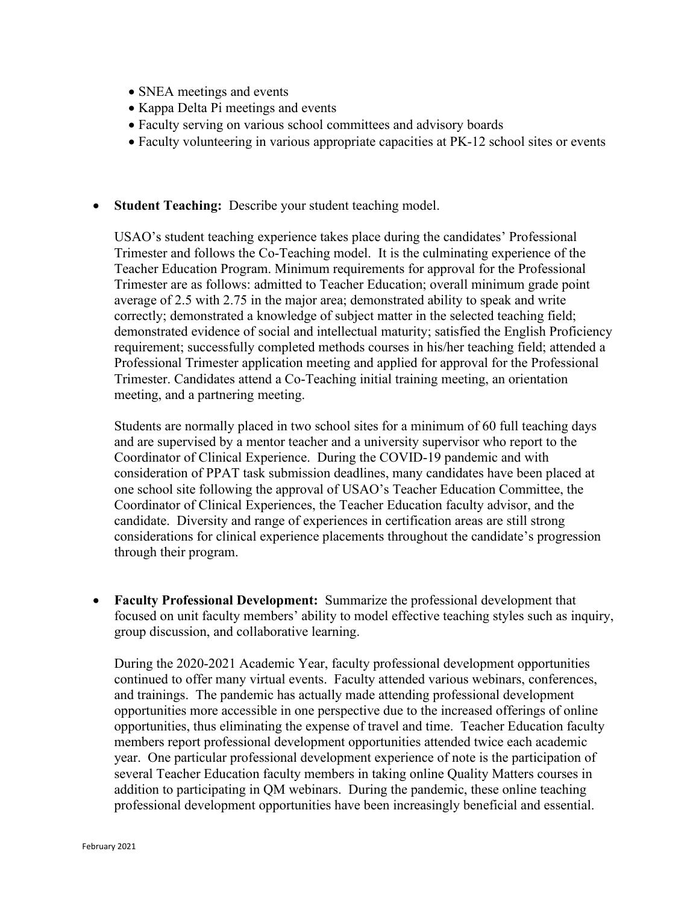- SNEA meetings and events
- Kappa Delta Pi meetings and events
- Faculty serving on various school committees and advisory boards
- Faculty volunteering in various appropriate capacities at PK-12 school sites or events
- **Student Teaching:** Describe your student teaching model.

USAO's student teaching experience takes place during the candidates' Professional Trimester and follows the Co-Teaching model. It is the culminating experience of the Teacher Education Program. Minimum requirements for approval for the Professional Trimester are as follows: admitted to Teacher Education; overall minimum grade point average of 2.5 with 2.75 in the major area; demonstrated ability to speak and write correctly; demonstrated a knowledge of subject matter in the selected teaching field; demonstrated evidence of social and intellectual maturity; satisfied the English Proficiency requirement; successfully completed methods courses in his/her teaching field; attended a Professional Trimester application meeting and applied for approval for the Professional Trimester. Candidates attend a Co-Teaching initial training meeting, an orientation meeting, and a partnering meeting.

Students are normally placed in two school sites for a minimum of 60 full teaching days and are supervised by a mentor teacher and a university supervisor who report to the Coordinator of Clinical Experience. During the COVID-19 pandemic and with consideration of PPAT task submission deadlines, many candidates have been placed at one school site following the approval of USAO's Teacher Education Committee, the Coordinator of Clinical Experiences, the Teacher Education faculty advisor, and the candidate. Diversity and range of experiences in certification areas are still strong considerations for clinical experience placements throughout the candidate's progression through their program.

• **Faculty Professional Development:** Summarize the professional development that focused on unit faculty members' ability to model effective teaching styles such as inquiry, group discussion, and collaborative learning.

During the 2020-2021 Academic Year, faculty professional development opportunities continued to offer many virtual events. Faculty attended various webinars, conferences, and trainings. The pandemic has actually made attending professional development opportunities more accessible in one perspective due to the increased offerings of online opportunities, thus eliminating the expense of travel and time. Teacher Education faculty members report professional development opportunities attended twice each academic year. One particular professional development experience of note is the participation of several Teacher Education faculty members in taking online Quality Matters courses in addition to participating in QM webinars. During the pandemic, these online teaching professional development opportunities have been increasingly beneficial and essential.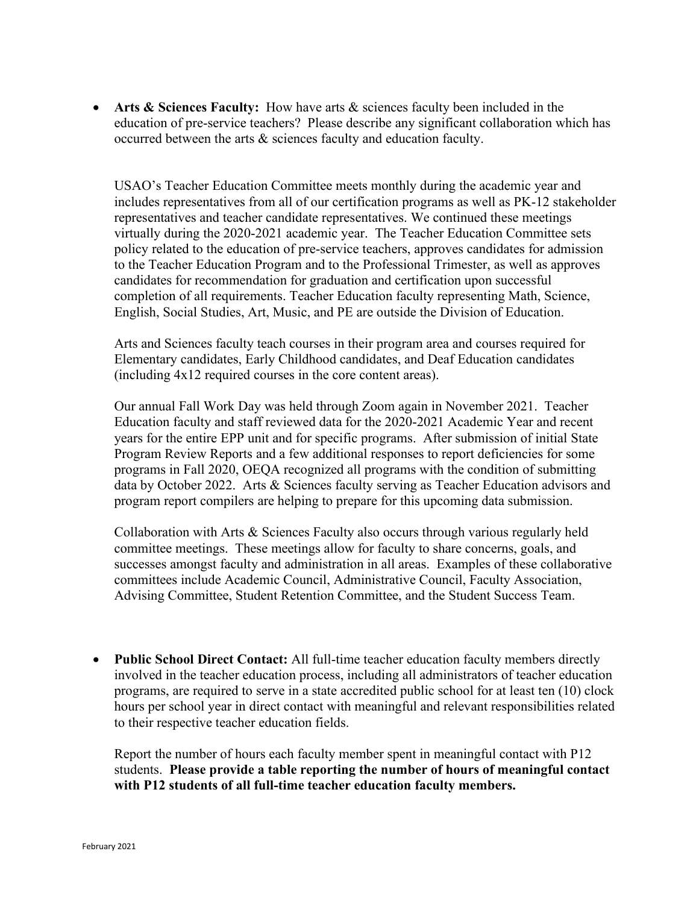• **Arts & Sciences Faculty:** How have arts & sciences faculty been included in the education of pre-service teachers? Please describe any significant collaboration which has occurred between the arts & sciences faculty and education faculty.

USAO's Teacher Education Committee meets monthly during the academic year and includes representatives from all of our certification programs as well as PK-12 stakeholder representatives and teacher candidate representatives. We continued these meetings virtually during the 2020-2021 academic year. The Teacher Education Committee sets policy related to the education of pre-service teachers, approves candidates for admission to the Teacher Education Program and to the Professional Trimester, as well as approves candidates for recommendation for graduation and certification upon successful completion of all requirements. Teacher Education faculty representing Math, Science, English, Social Studies, Art, Music, and PE are outside the Division of Education.

Arts and Sciences faculty teach courses in their program area and courses required for Elementary candidates, Early Childhood candidates, and Deaf Education candidates (including 4x12 required courses in the core content areas).

Our annual Fall Work Day was held through Zoom again in November 2021. Teacher Education faculty and staff reviewed data for the 2020-2021 Academic Year and recent years for the entire EPP unit and for specific programs. After submission of initial State Program Review Reports and a few additional responses to report deficiencies for some programs in Fall 2020, OEQA recognized all programs with the condition of submitting data by October 2022. Arts & Sciences faculty serving as Teacher Education advisors and program report compilers are helping to prepare for this upcoming data submission.

Collaboration with Arts & Sciences Faculty also occurs through various regularly held committee meetings. These meetings allow for faculty to share concerns, goals, and successes amongst faculty and administration in all areas. Examples of these collaborative committees include Academic Council, Administrative Council, Faculty Association, Advising Committee, Student Retention Committee, and the Student Success Team.

• **Public School Direct Contact:** All full-time teacher education faculty members directly involved in the teacher education process, including all administrators of teacher education programs, are required to serve in a state accredited public school for at least ten (10) clock hours per school year in direct contact with meaningful and relevant responsibilities related to their respective teacher education fields.

Report the number of hours each faculty member spent in meaningful contact with P12 students. **Please provide a table reporting the number of hours of meaningful contact with P12 students of all full-time teacher education faculty members.**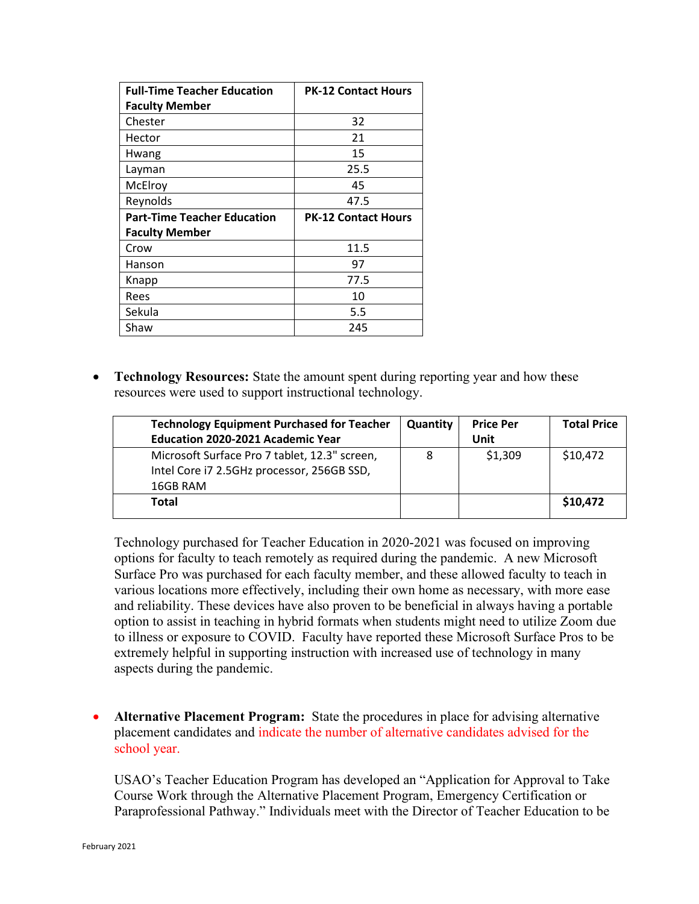| <b>Full-Time Teacher Education</b> | <b>PK-12 Contact Hours</b> |  |  |
|------------------------------------|----------------------------|--|--|
| <b>Faculty Member</b>              |                            |  |  |
| Chester                            | 32                         |  |  |
| Hector                             | 21                         |  |  |
| Hwang                              | 15                         |  |  |
| Layman                             | 25.5                       |  |  |
| McElroy                            | 45                         |  |  |
| Reynolds                           | 47.5                       |  |  |
|                                    | <b>PK-12 Contact Hours</b> |  |  |
| <b>Part-Time Teacher Education</b> |                            |  |  |
| <b>Faculty Member</b>              |                            |  |  |
| Crow                               | 11.5                       |  |  |
| Hanson                             | 97                         |  |  |
| Knapp                              | 77.5                       |  |  |
| Rees                               | 10                         |  |  |
| Sekula                             | 5.5                        |  |  |

• **Technology Resources:** State the amount spent during reporting year and how th**e**se resources were used to support instructional technology.

| <b>Technology Equipment Purchased for Teacher</b><br><b>Education 2020-2021 Academic Year</b>           | Quantity | <b>Price Per</b><br>Unit | <b>Total Price</b> |
|---------------------------------------------------------------------------------------------------------|----------|--------------------------|--------------------|
| Microsoft Surface Pro 7 tablet, 12.3" screen,<br>Intel Core i7 2.5GHz processor, 256GB SSD,<br>16GB RAM | 8        | \$1,309                  | \$10,472           |
| Total                                                                                                   |          |                          | \$10,472           |

Technology purchased for Teacher Education in 2020-2021 was focused on improving options for faculty to teach remotely as required during the pandemic. A new Microsoft Surface Pro was purchased for each faculty member, and these allowed faculty to teach in various locations more effectively, including their own home as necessary, with more ease and reliability. These devices have also proven to be beneficial in always having a portable option to assist in teaching in hybrid formats when students might need to utilize Zoom due to illness or exposure to COVID. Faculty have reported these Microsoft Surface Pros to be extremely helpful in supporting instruction with increased use of technology in many aspects during the pandemic.

• **Alternative Placement Program:** State the procedures in place for advising alternative placement candidates and indicate the number of alternative candidates advised for the school year.

USAO's Teacher Education Program has developed an "Application for Approval to Take Course Work through the Alternative Placement Program, Emergency Certification or Paraprofessional Pathway." Individuals meet with the Director of Teacher Education to be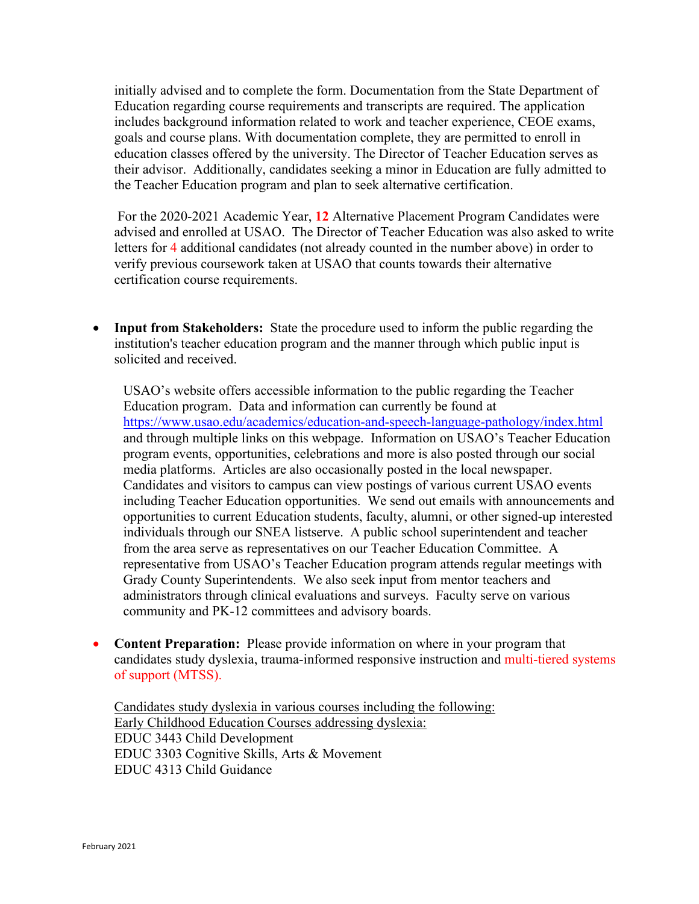initially advised and to complete the form. Documentation from the State Department of Education regarding course requirements and transcripts are required. The application includes background information related to work and teacher experience, CEOE exams, goals and course plans. With documentation complete, they are permitted to enroll in education classes offered by the university. The Director of Teacher Education serves as their advisor. Additionally, candidates seeking a minor in Education are fully admitted to the Teacher Education program and plan to seek alternative certification.

 For the 2020-2021 Academic Year, **12** Alternative Placement Program Candidates were advised and enrolled at USAO. The Director of Teacher Education was also asked to write letters for 4 additional candidates (not already counted in the number above) in order to verify previous coursework taken at USAO that counts towards their alternative certification course requirements.

• **Input from Stakeholders:** State the procedure used to inform the public regarding the institution's teacher education program and the manner through which public input is solicited and received.

USAO's website offers accessible information to the public regarding the Teacher Education program. Data and information can currently be found at <https://www.usao.edu/academics/education-and-speech-language-pathology/index.html> and through multiple links on this webpage. Information on USAO's Teacher Education program events, opportunities, celebrations and more is also posted through our social media platforms. Articles are also occasionally posted in the local newspaper. Candidates and visitors to campus can view postings of various current USAO events including Teacher Education opportunities. We send out emails with announcements and opportunities to current Education students, faculty, alumni, or other signed-up interested individuals through our SNEA listserve. A public school superintendent and teacher from the area serve as representatives on our Teacher Education Committee. A representative from USAO's Teacher Education program attends regular meetings with Grady County Superintendents. We also seek input from mentor teachers and administrators through clinical evaluations and surveys. Faculty serve on various community and PK-12 committees and advisory boards.

• **Content Preparation:** Please provide information on where in your program that candidates study dyslexia, trauma-informed responsive instruction and multi-tiered systems of support (MTSS).

Candidates study dyslexia in various courses including the following: Early Childhood Education Courses addressing dyslexia: EDUC 3443 Child Development EDUC 3303 Cognitive Skills, Arts & Movement EDUC 4313 Child Guidance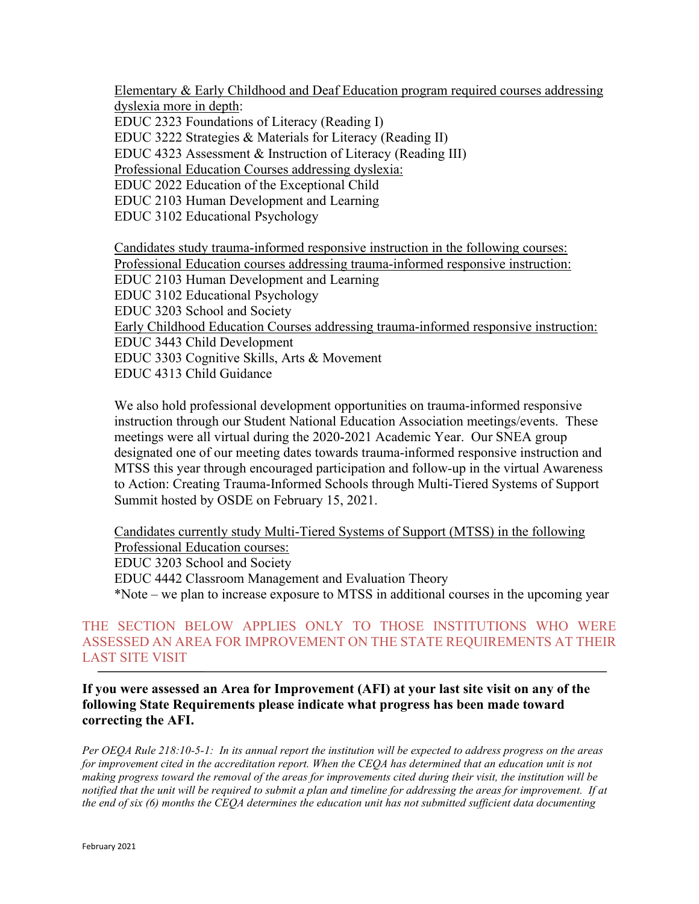Elementary & Early Childhood and Deaf Education program required courses addressing dyslexia more in depth:

EDUC 2323 Foundations of Literacy (Reading I)

EDUC 3222 Strategies & Materials for Literacy (Reading II)

EDUC 4323 Assessment & Instruction of Literacy (Reading III)

Professional Education Courses addressing dyslexia:

EDUC 2022 Education of the Exceptional Child

EDUC 2103 Human Development and Learning

EDUC 3102 Educational Psychology

Candidates study trauma-informed responsive instruction in the following courses: Professional Education courses addressing trauma-informed responsive instruction: EDUC 2103 Human Development and Learning EDUC 3102 Educational Psychology EDUC 3203 School and Society Early Childhood Education Courses addressing trauma-informed responsive instruction: EDUC 3443 Child Development EDUC 3303 Cognitive Skills, Arts & Movement EDUC 4313 Child Guidance

We also hold professional development opportunities on trauma-informed responsive instruction through our Student National Education Association meetings/events. These meetings were all virtual during the 2020-2021 Academic Year. Our SNEA group designated one of our meeting dates towards trauma-informed responsive instruction and MTSS this year through encouraged participation and follow-up in the virtual Awareness to Action: Creating Trauma-Informed Schools through Multi-Tiered Systems of Support Summit hosted by OSDE on February 15, 2021.

Candidates currently study Multi-Tiered Systems of Support (MTSS) in the following Professional Education courses: EDUC 3203 School and Society EDUC 4442 Classroom Management and Evaluation Theory \*Note – we plan to increase exposure to MTSS in additional courses in the upcoming year

THE SECTION BELOW APPLIES ONLY TO THOSE INSTITUTIONS WHO WERE ASSESSED AN AREA FOR IMPROVEMENT ON THE STATE REQUIREMENTS AT THEIR LAST SITE VISIT

**If you were assessed an Area for Improvement (AFI) at your last site visit on any of the following State Requirements please indicate what progress has been made toward correcting the AFI.**

*Per OEQA Rule 218:10-5-1: In its annual report the institution will be expected to address progress on the areas*  for improvement cited in the accreditation report. When the CEQA has determined that an education unit is not *making progress toward the removal of the areas for improvements cited during their visit, the institution will be notified that the unit will be required to submit a plan and timeline for addressing the areas for improvement. If at the end of six (6) months the CEQA determines the education unit has not submitted sufficient data documenting*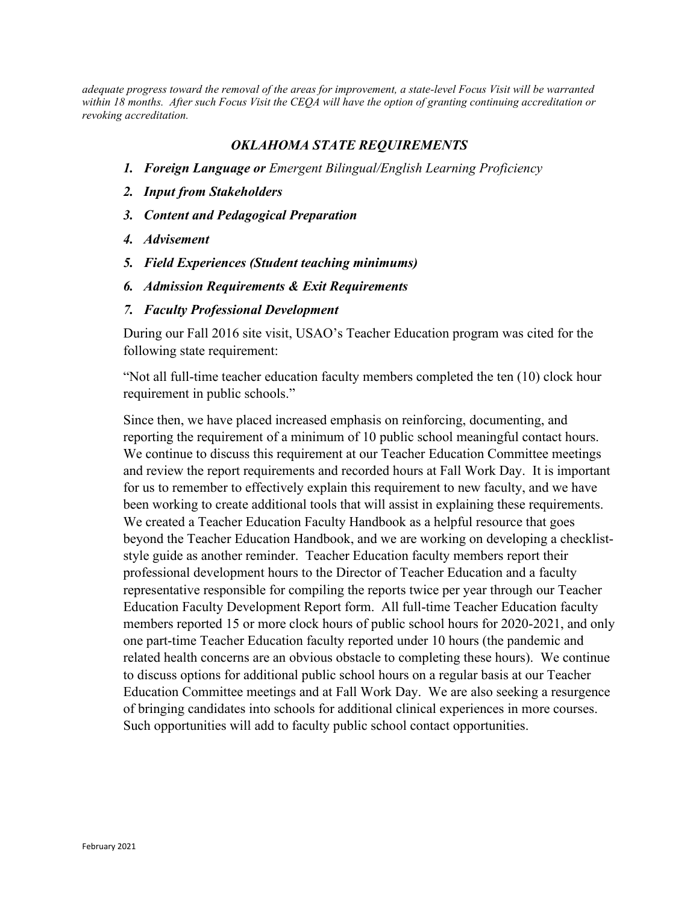*adequate progress toward the removal of the areas for improvement, a state-level Focus Visit will be warranted within 18 months. After such Focus Visit the CEQA will have the option of granting continuing accreditation or revoking accreditation.*

## *OKLAHOMA STATE REQUIREMENTS*

- *1. Foreign Language or Emergent Bilingual/English Learning Proficiency*
- *2. Input from Stakeholders*
- *3. Content and Pedagogical Preparation*
- *4. Advisement*
- *5. Field Experiences (Student teaching minimums)*
- *6. Admission Requirements & Exit Requirements*
- *7. Faculty Professional Development*

During our Fall 2016 site visit, USAO's Teacher Education program was cited for the following state requirement:

"Not all full-time teacher education faculty members completed the ten (10) clock hour requirement in public schools."

Since then, we have placed increased emphasis on reinforcing, documenting, and reporting the requirement of a minimum of 10 public school meaningful contact hours. We continue to discuss this requirement at our Teacher Education Committee meetings and review the report requirements and recorded hours at Fall Work Day. It is important for us to remember to effectively explain this requirement to new faculty, and we have been working to create additional tools that will assist in explaining these requirements. We created a Teacher Education Faculty Handbook as a helpful resource that goes beyond the Teacher Education Handbook, and we are working on developing a checkliststyle guide as another reminder. Teacher Education faculty members report their professional development hours to the Director of Teacher Education and a faculty representative responsible for compiling the reports twice per year through our Teacher Education Faculty Development Report form. All full-time Teacher Education faculty members reported 15 or more clock hours of public school hours for 2020-2021, and only one part-time Teacher Education faculty reported under 10 hours (the pandemic and related health concerns are an obvious obstacle to completing these hours). We continue to discuss options for additional public school hours on a regular basis at our Teacher Education Committee meetings and at Fall Work Day. We are also seeking a resurgence of bringing candidates into schools for additional clinical experiences in more courses. Such opportunities will add to faculty public school contact opportunities.